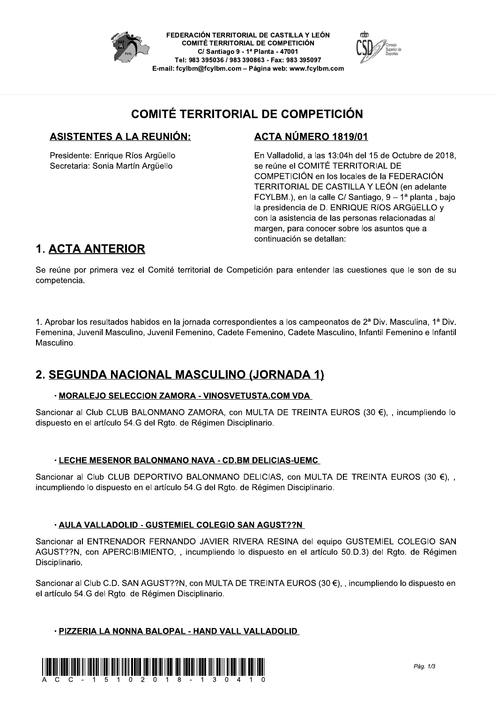

FEDERACIÓN TERRITORIAL DE CASTILLA Y LEÓN **COMITÉ TERRITORIAL DE COMPETICIÓN** C/ Santiago 9 - 1ª Planta - 47001 Tel: 983 395036 / 983 390863 - Fax: 983 395097 E-mail: fcylbm@fcylbm.com - Página web: www.fcylbm.com



### **COMITÉ TERRITORIAL DE COMPETICIÓN**

#### **ASISTENTES A LA REUNIÓN:**

Presidente: Enrique Ríos Argüello Secretaria: Sonia Martín Arqüello

### ACTA NÚMERO 1819/01

En Valladolid, a las 13:04h del 15 de Octubre de 2018, se reúne el COMITÉ TERRITORIAL DE COMPETICIÓN en los locales de la FEDERACIÓN TERRITORIAL DE CASTILLA Y LEÓN (en adelante FCYLBM.), en la calle C/ Santiago, 9 – 1ª planta, bajo la presidencia de D. ENRIQUE RíOS ARGüELLO y con la asistencia de las personas relacionadas al margen, para conocer sobre los asuntos que a continuación se detallan:

## **1. ACTA ANTERIOR**

Se reúne por primera vez el Comité territorial de Competición para entender las cuestiones que le son de su competencia.

1. Aprobar los resultados habidos en la jornada correspondientes a los campeonatos de 2ª Div. Masculina, 1ª Div. Femenina, Juvenil Masculino, Juvenil Femenino, Cadete Femenino, Cadete Masculino, Infantil Femenino e Infantil Masculino.

### 2. SEGUNDA NACIONAL MASCULINO (JORNADA 1)

#### · MORALEJO SELECCION ZAMORA - VINOSVETUSTA.COM VDA

Sancionar al Club CLUB BALONMANO ZAMORA, con MULTA DE TREINTA EUROS (30 €), , incumpliendo lo dispuesto en el artículo 54.G del Rgto. de Régimen Disciplinario.

#### · LECHE MESENOR BALONMANO NAVA - CD.BM DELICIAS-UEMC

Sancionar al Club CLUB DEPORTIVO BALONMANO DELICIAS, con MULTA DE TREINTA EUROS (30 €), , incumpliendo lo dispuesto en el artículo 54.G del Rgto. de Régimen Disciplinario.

#### · AULA VALLADOLID - GUSTEMIEL COLEGIO SAN AGUST??N

Sancionar al ENTRENADOR FERNANDO JAVIER RIVERA RESINA del equipo GUSTEMIEL COLEGIO SAN AGUST??N, con APERCIBIMIENTO,, incumpliendo lo dispuesto en el artículo 50.D.3) del Rgto. de Régimen Disciplinario.

Sancionar al Club C.D. SAN AGUST??N, con MULTA DE TREINTA EUROS (30 €), , incumpliendo lo dispuesto en el artículo 54.G del Rgto. de Régimen Disciplinario.

#### · PIZZERIA LA NONNA BALOPAL - HAND VALL VALLADOLID

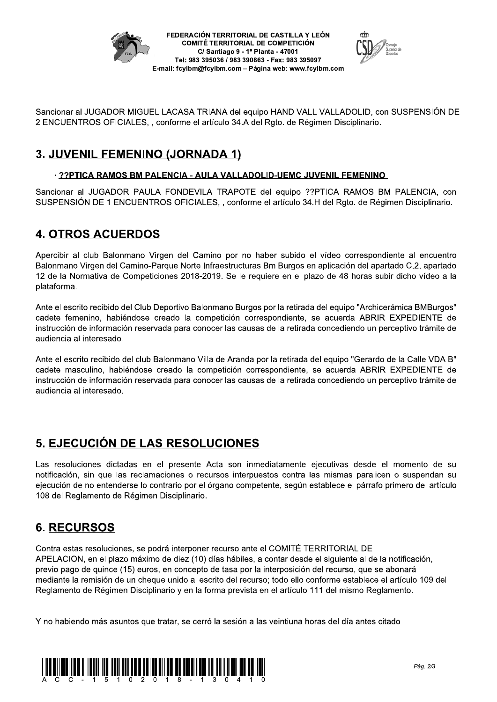



Sancionar al JUGADOR MIGUEL LACASA TRIANA del equipo HAND VALL VALLADOLID, con SUSPENSION DE  $Z$  ENCUENTROS OFICIALES, , conforme el artículo 34.A del R $g$ to. de Regimen Disciplinario.

# <u>3. JUVENIL FEMENINO (JORNADA 1)</u>

### <u>: ??PTICA RAMOS BM PALENCIA - AULA VALLADOLID-UEMC JUVENIL FEMENINO</u>

Sancionar a JUGADOR PAULA FONDEVILA TRAPOTE del equipo ??PTICA RAMOS BM PALENCIA, con SUSPENSION DE 1 ENCUENTROS OFICIALES, , contorme el artículo 34.H del Rgto. de Regimen Disciplinario.

# 4. <u>UTRUS ACUERDUS</u>

Apercibir ai ciub Balonmano Virgen del Camino por no naber subido el video correspondiente al encuentro  $\bf s$ alonmano Virgen del Camino-Parque Norte Infraestructuras Bm Burgos en aplicación del apartado C.2. apartado 12 de la Normativa de Competiciones 2018-2019. Se le requiere en el plazo de 48 horas subir dicho video a la plataforma.

Ante el escrito recibido del Ciub Deportivo Balonmano Burgos por la retirada del equipo "Archiceramica BMBurgos" cadete femenino, nabiendose creado la competición correspondiente, se acuerda ABRIR EXPEDIENTE de instrucción de información reservada para conocer las causas de la retirada concediendo un perceptivo tramite de audiencia al interesado.

Ante el escrito recibido del ciub Balonmano Villa de Aranda por la retirada del equipo "Gerardo de la Calle VDA B" cadete masculino, nablendose creado la competición correspondiente, se acuerda ABRIR EXPEDIENTE de instrucción de información reservada para conocer las causas de la retirada concediendo un perceptivo tramite de audiencia al interesado.

# <u>5. EJECUCION DE LAS RESOLUCIONES</u>

Las resoluciones dictadas en el presente Acta son inmediatamente ejecutivas desde el momento de su notificación, sin que las reclamaciónes o recursos interpuestos contra las mismas paralicen o suspendan su ejecución de no entenderse lo contrario por el organo competente, según establece el parrafo primero del artículo 108 del Regiamento de Regimen Disciplinario.

## <u>KECURSUS</u>

**5. EJECUCIÓN DE LA**<br>Las resoluciones dictadas en<br>notificación, sin que las reclan<br>ejecución de no entenderse lo d<br>108 del Reglamento de Régime<br>**6. RECURSOS**<br>Contra estas resoluciones, se p<br>APELACION, en el plazo máxin<br>pre Contra estas resoluciones, se podra interponer recurso ante el COMITE TERRITORIAL DE APELACION, en el plazo maximo de diez (10) días habiles, a contar desde el siguiente al de la notificación, previo pago de quince (15) euros, en concepto de tasa por la interposición del recurso, que se abonara mediante la remisión de un cheque unido al escrito del recurso; todo ello conforme establece el artículo 109 del Regiamento de Regimen Disciplinario y en la forma prevista en el artículo 111 del mismo Regiamento.

Y no habiendo mas asuntos que tratar, se cerro la sesión a las veintiuna noras del día antes citado